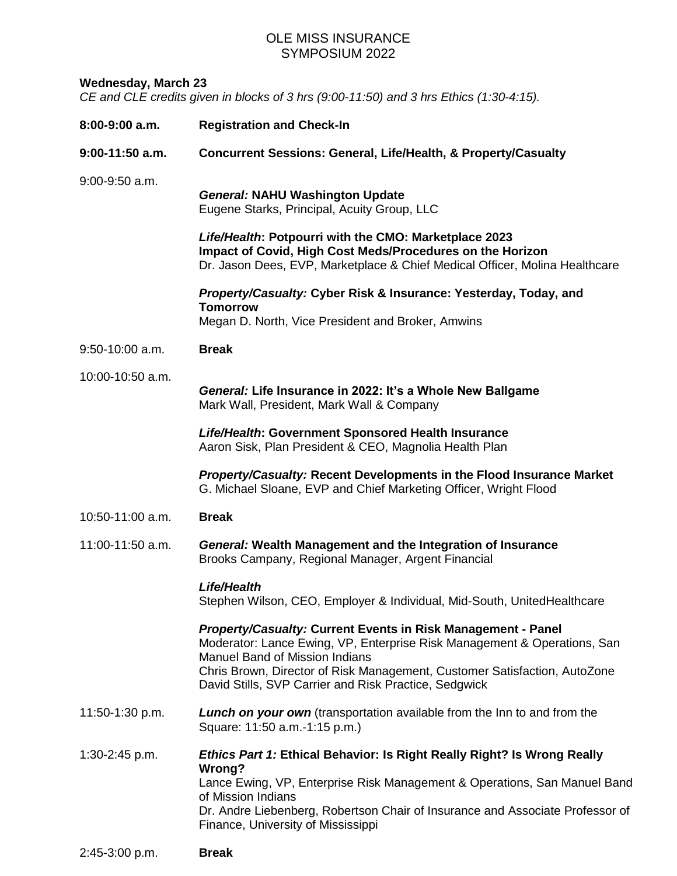## OLE MISS INSURANCE SYMPOSIUM 2022

## **Wednesday, March 23**

*CE and CLE credits given in blocks of 3 hrs (9:00-11:50) and 3 hrs Ethics (1:30-4:15).*

| 8:00-9:00 a.m.    | <b>Registration and Check-In</b>                                                                                                                                                                                                                                                                                               |
|-------------------|--------------------------------------------------------------------------------------------------------------------------------------------------------------------------------------------------------------------------------------------------------------------------------------------------------------------------------|
| $9:00-11:50$ a.m. | Concurrent Sessions: General, Life/Health, & Property/Casualty                                                                                                                                                                                                                                                                 |
| $9:00-9:50$ a.m.  | <b>General: NAHU Washington Update</b><br>Eugene Starks, Principal, Acuity Group, LLC                                                                                                                                                                                                                                          |
|                   | Life/Health: Potpourri with the CMO: Marketplace 2023<br>Impact of Covid, High Cost Meds/Procedures on the Horizon<br>Dr. Jason Dees, EVP, Marketplace & Chief Medical Officer, Molina Healthcare                                                                                                                              |
|                   | Property/Casualty: Cyber Risk & Insurance: Yesterday, Today, and<br><b>Tomorrow</b><br>Megan D. North, Vice President and Broker, Amwins                                                                                                                                                                                       |
| $9:50-10:00$ a.m. | <b>Break</b>                                                                                                                                                                                                                                                                                                                   |
| 10:00-10:50 a.m.  | General: Life Insurance in 2022: It's a Whole New Ballgame<br>Mark Wall, President, Mark Wall & Company                                                                                                                                                                                                                        |
|                   | Life/Health: Government Sponsored Health Insurance<br>Aaron Sisk, Plan President & CEO, Magnolia Health Plan                                                                                                                                                                                                                   |
|                   | <b>Property/Casualty: Recent Developments in the Flood Insurance Market</b><br>G. Michael Sloane, EVP and Chief Marketing Officer, Wright Flood                                                                                                                                                                                |
| 10:50-11:00 a.m.  | <b>Break</b>                                                                                                                                                                                                                                                                                                                   |
| 11:00-11:50 a.m.  | General: Wealth Management and the Integration of Insurance<br>Brooks Campany, Regional Manager, Argent Financial                                                                                                                                                                                                              |
|                   | <b>Life/Health</b><br>Stephen Wilson, CEO, Employer & Individual, Mid-South, UnitedHealthcare                                                                                                                                                                                                                                  |
|                   | <b>Property/Casualty: Current Events in Risk Management - Panel</b><br>Moderator: Lance Ewing, VP, Enterprise Risk Management & Operations, San<br><b>Manuel Band of Mission Indians</b><br>Chris Brown, Director of Risk Management, Customer Satisfaction, AutoZone<br>David Stills, SVP Carrier and Risk Practice, Sedgwick |
| 11:50-1:30 p.m.   | <b>Lunch on your own</b> (transportation available from the Inn to and from the<br>Square: 11:50 a.m.-1:15 p.m.)                                                                                                                                                                                                               |
| $1:30-2:45$ p.m.  | <b>Ethics Part 1: Ethical Behavior: Is Right Really Right? Is Wrong Really</b><br>Wrong?<br>Lance Ewing, VP, Enterprise Risk Management & Operations, San Manuel Band<br>of Mission Indians<br>Dr. Andre Liebenberg, Robertson Chair of Insurance and Associate Professor of<br>Finance, University of Mississippi             |

2:45-3:00 p.m. **Break**